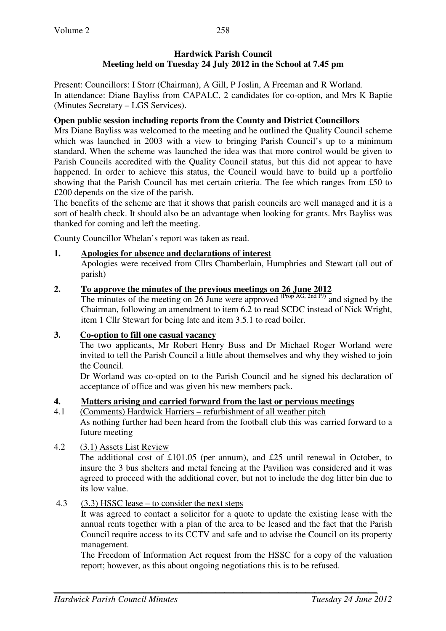# **Hardwick Parish Council Meeting held on Tuesday 24 July 2012 in the School at 7.45 pm**

Present: Councillors: I Storr (Chairman), A Gill, P Joslin, A Freeman and R Worland. In attendance: Diane Bayliss from CAPALC, 2 candidates for co-option, and Mrs K Baptie (Minutes Secretary – LGS Services).

# **Open public session including reports from the County and District Councillors**

Mrs Diane Bayliss was welcomed to the meeting and he outlined the Quality Council scheme which was launched in 2003 with a view to bringing Parish Council's up to a minimum standard. When the scheme was launched the idea was that more control would be given to Parish Councils accredited with the Quality Council status, but this did not appear to have happened. In order to achieve this status, the Council would have to build up a portfolio showing that the Parish Council has met certain criteria. The fee which ranges from £50 to £200 depends on the size of the parish.

The benefits of the scheme are that it shows that parish councils are well managed and it is a sort of health check. It should also be an advantage when looking for grants. Mrs Bayliss was thanked for coming and left the meeting.

County Councillor Whelan's report was taken as read.

# **1. Apologies for absence and declarations of interest**

Apologies were received from Cllrs Chamberlain, Humphries and Stewart (all out of parish)

# **2. To approve the minutes of the previous meetings on 26 June 2012**

The minutes of the meeting on 26 June were approved  $^{(Prop\ AG, 2nd\ PJ)}$  and signed by the Chairman, following an amendment to item 6.2 to read SCDC instead of Nick Wright, item 1 Cllr Stewart for being late and item 3.5.1 to read boiler.

# **3. Co-option to fill one casual vacancy**

 The two applicants, Mr Robert Henry Buss and Dr Michael Roger Worland were invited to tell the Parish Council a little about themselves and why they wished to join the Council.

 Dr Worland was co-opted on to the Parish Council and he signed his declaration of acceptance of office and was given his new members pack.

# **4. Matters arising and carried forward from the last or pervious meetings**

4.1 (Comments) Hardwick Harriers – refurbishment of all weather pitch As nothing further had been heard from the football club this was carried forward to a future meeting

# 4.2 (3.1) Assets List Review

 The additional cost of £101.05 (per annum), and £25 until renewal in October, to insure the 3 bus shelters and metal fencing at the Pavilion was considered and it was agreed to proceed with the additional cover, but not to include the dog litter bin due to its low value.

# 4.3 (3.3) HSSC lease – to consider the next steps

 It was agreed to contact a solicitor for a quote to update the existing lease with the annual rents together with a plan of the area to be leased and the fact that the Parish Council require access to its CCTV and safe and to advise the Council on its property management.

 The Freedom of Information Act request from the HSSC for a copy of the valuation report; however, as this about ongoing negotiations this is to be refused.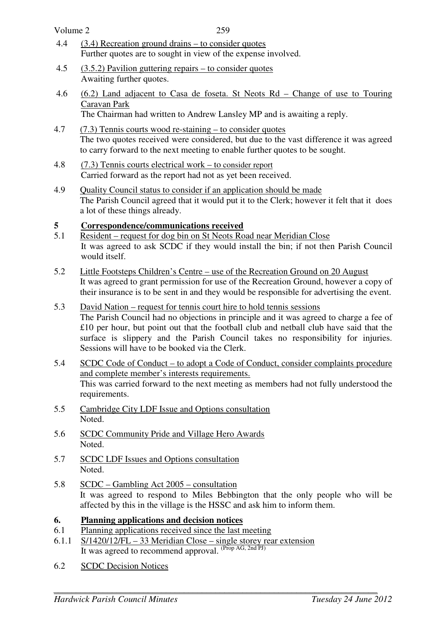| Volume 2 | 259                                                                                                                                                                                                                                 |
|----------|-------------------------------------------------------------------------------------------------------------------------------------------------------------------------------------------------------------------------------------|
| 4.4      | $(3.4)$ Recreation ground drains – to consider quotes<br>Further quotes are to sought in view of the expense involved.                                                                                                              |
| 4.5      | $(3.5.2)$ Pavilion guttering repairs – to consider quotes<br>Awaiting further quotes.                                                                                                                                               |
| 4.6      | $(6.2)$ Land adjacent to Casa de foseta. St Neots Rd – Change of use to Touring<br>Caravan Park<br>The Chairman had written to Andrew Lansley MP and is awaiting a reply.                                                           |
| 4.7      | $(7.3)$ Tennis courts wood re-staining – to consider quotes<br>The two quotes received were considered, but due to the vast difference it was agreed<br>to carry forward to the next meeting to enable further quotes to be sought. |
| 4.8      | $(7.3)$ Tennis courts electrical work – to consider report<br>Carried forward as the report had not as yet been received.                                                                                                           |

4.9 Quality Council status to consider if an application should be made The Parish Council agreed that it would put it to the Clerk; however it felt that it does a lot of these things already.

# **5 Correspondence/communications received**<br>5.1 Resident – request for dog bin on St Neots Ro

- Resident request for dog bin on St Neots Road near Meridian Close It was agreed to ask SCDC if they would install the bin; if not then Parish Council would itself.
- 5.2 Little Footsteps Children's Centre use of the Recreation Ground on 20 August It was agreed to grant permission for use of the Recreation Ground, however a copy of their insurance is to be sent in and they would be responsible for advertising the event.
- 5.3 David Nation request for tennis court hire to hold tennis sessions The Parish Council had no objections in principle and it was agreed to charge a fee of £10 per hour, but point out that the football club and netball club have said that the surface is slippery and the Parish Council takes no responsibility for injuries. Sessions will have to be booked via the Clerk.
- 5.4 SCDC Code of Conduct to adopt a Code of Conduct, consider complaints procedure and complete member's interests requirements. This was carried forward to the next meeting as members had not fully understood the requirements.
- 5.5 Cambridge City LDF Issue and Options consultation Noted.
- 5.6 SCDC Community Pride and Village Hero Awards Noted.
- 5.7 SCDC LDF Issues and Options consultation Noted.
- 5.8 SCDC Gambling Act 2005 consultation It was agreed to respond to Miles Bebbington that the only people who will be affected by this in the village is the HSSC and ask him to inform them.

## **6. Planning applications and decision notices**

- 6.1 Planning applications received since the last meeting
- 6.1.1 S/1420/12/FL 33 Meridian Close single storey rear extension It was agreed to recommend approval. (Prop AG, 2nd PJ)
- 6.2 SCDC Decision Notices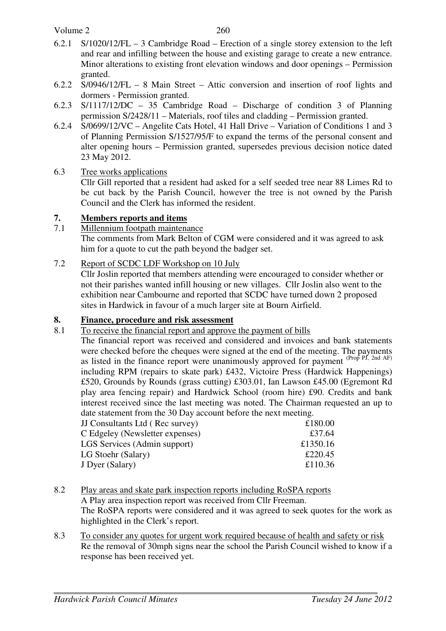### Volume 2

- 6.2.1 S/1020/12/FL 3 Cambridge Road Erection of a single storey extension to the left and rear and infilling between the house and existing garage to create a new entrance. Minor alterations to existing front elevation windows and door openings – Permission granted.
- 6.2.2 S/0946/12/FL 8 Main Street Attic conversion and insertion of roof lights and dormers - Permission granted.
- 6.2.3 S/1117/12/DC 35 Cambridge Road Discharge of condition 3 of Planning permission S/2428/11 – Materials, roof tiles and cladding – Permission granted.
- 6.2.4 S/0699/12/VC Angelite Cats Hotel, 41 Hall Drive Variation of Conditions 1 and 3 of Planning Permission S/1527/95/F to expand the terms of the personal consent and alter opening hours – Permission granted, supersedes previous decision notice dated 23 May 2012.
- 6.3 Tree works applications

 Cllr Gill reported that a resident had asked for a self seeded tree near 88 Limes Rd to be cut back by the Parish Council, however the tree is not owned by the Parish Council and the Clerk has informed the resident.

### **7. Members reports and items**

7.1 Millennium footpath maintenance

 The comments from Mark Belton of CGM were considered and it was agreed to ask him for a quote to cut the path beyond the badger set.

### 7.2 Report of SCDC LDF Workshop on 10 July

 Cllr Joslin reported that members attending were encouraged to consider whether or not their parishes wanted infill housing or new villages. Cllr Joslin also went to the exhibition near Cambourne and reported that SCDC have turned down 2 proposed sites in Hardwick in favour of a much larger site at Bourn Airfield.

### **8. Finance, procedure and risk assessment**

8.1 To receive the financial report and approve the payment of bills

The financial report was received and considered and invoices and bank statements were checked before the cheques were signed at the end of the meeting. The payments as listed in the finance report were unanimously approved for payment (Prop PJ, 2nd AF) including RPM (repairs to skate park) £432, Victoire Press (Hardwick Happenings) £520, Grounds by Rounds (grass cutting) £303.01, Ian Lawson £45.00 (Egremont Rd play area fencing repair) and Hardwick School (room hire) £90. Credits and bank interest received since the last meeting was noted. The Chairman requested an up to date statement from the 30 Day account before the next meeting.

| <b>JJ Consultants Ltd (Rec survey)</b> | £180.00  |
|----------------------------------------|----------|
| C Edgeley (Newsletter expenses)        | £37.64   |
| LGS Services (Admin support)           | £1350.16 |
| LG Stoehr (Salary)                     | £220.45  |
| J Dyer (Salary)                        | £110.36  |

- 8.2 Play areas and skate park inspection reports including RoSPA reports A Play area inspection report was received from Cllr Freeman. The RoSPA reports were considered and it was agreed to seek quotes for the work as highlighted in the Clerk's report.
- 8.3 To consider any quotes for urgent work required because of health and safety or risk Re the removal of 30mph signs near the school the Parish Council wished to know if a response has been received yet.